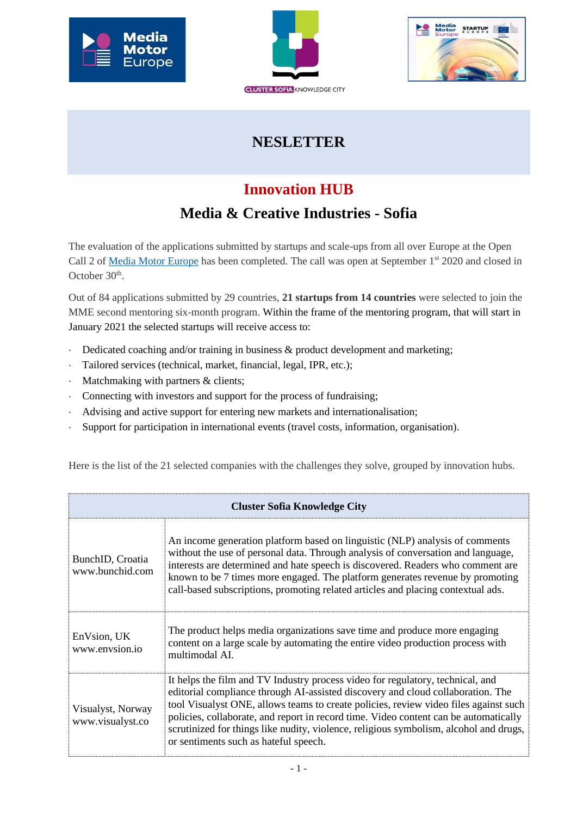





## **NESLETTER**

## **Innovation HUB**

## **Media & Creative Industries - Sofia**

The evaluation of the applications submitted by startups and scale-ups from all over Europe at the Open Call 2 of [Media Motor Europe](https://mediamotoreurope.eu/) has been completed. The call was open at September 1<sup>st</sup> 2020 and closed in October 30<sup>th</sup>.

Out of 84 applications submitted by 29 countries, **21 startups from 14 countries** were selected to join the MME second mentoring six-month program. Within the frame of the mentoring program, that will start in January 2021 the selected startups will receive access to:

- Dedicated coaching and/or training in business & product development and marketing;
- Tailored services (technical, market, financial, legal, IPR, etc.);
- Matchmaking with partners & clients;
- Connecting with investors and support for the process of fundraising;
- Advising and active support for entering new markets and internationalisation;
- Support for participation in international events (travel costs, information, organisation).

| <b>Cluster Sofia Knowledge City</b>   |                                                                                                                                                                                                                                                                                                                                                                                                                                                                                     |  |
|---------------------------------------|-------------------------------------------------------------------------------------------------------------------------------------------------------------------------------------------------------------------------------------------------------------------------------------------------------------------------------------------------------------------------------------------------------------------------------------------------------------------------------------|--|
| BunchID, Croatia<br>www.bunchid.com   | An income generation platform based on linguistic (NLP) analysis of comments<br>without the use of personal data. Through analysis of conversation and language,<br>interests are determined and hate speech is discovered. Readers who comment are<br>known to be 7 times more engaged. The platform generates revenue by promoting<br>call-based subscriptions, promoting related articles and placing contextual ads.                                                            |  |
| EnVsion, UK<br>www.envsion.io         | The product helps media organizations save time and produce more engaging<br>content on a large scale by automating the entire video production process with<br>multimodal AI.                                                                                                                                                                                                                                                                                                      |  |
| Visualyst, Norway<br>www.visualyst.co | It helps the film and TV Industry process video for regulatory, technical, and<br>editorial compliance through AI-assisted discovery and cloud collaboration. The<br>tool Visualyst ONE, allows teams to create policies, review video files against such<br>policies, collaborate, and report in record time. Video content can be automatically<br>scrutinized for things like nudity, violence, religious symbolism, alcohol and drugs,<br>or sentiments such as hateful speech. |  |

Here is the list of the 21 selected companies with the challenges they solve, grouped by innovation hubs.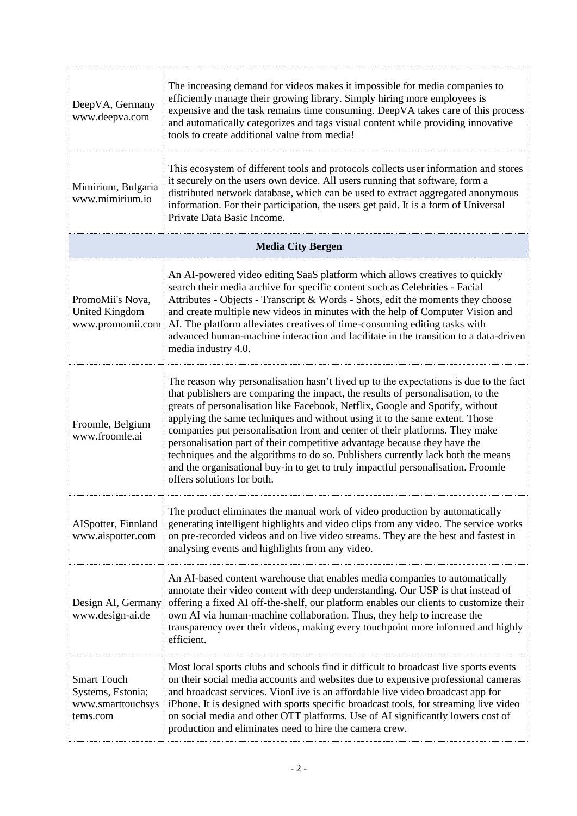| DeepVA, Germany<br>www.deepva.com                                        | The increasing demand for videos makes it impossible for media companies to<br>efficiently manage their growing library. Simply hiring more employees is<br>expensive and the task remains time consuming. DeepVA takes care of this process<br>and automatically categorizes and tags visual content while providing innovative<br>tools to create additional value from media!                                                                                                                                                                                                                                                                                                                             |  |
|--------------------------------------------------------------------------|--------------------------------------------------------------------------------------------------------------------------------------------------------------------------------------------------------------------------------------------------------------------------------------------------------------------------------------------------------------------------------------------------------------------------------------------------------------------------------------------------------------------------------------------------------------------------------------------------------------------------------------------------------------------------------------------------------------|--|
| Mimirium, Bulgaria<br>www.mimirium.io                                    | This ecosystem of different tools and protocols collects user information and stores<br>it securely on the users own device. All users running that software, form a<br>distributed network database, which can be used to extract aggregated anonymous<br>information. For their participation, the users get paid. It is a form of Universal<br>Private Data Basic Income.                                                                                                                                                                                                                                                                                                                                 |  |
| <b>Media City Bergen</b>                                                 |                                                                                                                                                                                                                                                                                                                                                                                                                                                                                                                                                                                                                                                                                                              |  |
| PromoMii's Nova,<br><b>United Kingdom</b><br>www.promomii.com            | An AI-powered video editing SaaS platform which allows creatives to quickly<br>search their media archive for specific content such as Celebrities - Facial<br>Attributes - Objects - Transcript & Words - Shots, edit the moments they choose<br>and create multiple new videos in minutes with the help of Computer Vision and<br>AI. The platform alleviates creatives of time-consuming editing tasks with<br>advanced human-machine interaction and facilitate in the transition to a data-driven<br>media industry 4.0.                                                                                                                                                                                |  |
| Froomle, Belgium<br>www.froomle.ai                                       | The reason why personalisation hasn't lived up to the expectations is due to the fact<br>that publishers are comparing the impact, the results of personalisation, to the<br>greats of personalisation like Facebook, Netflix, Google and Spotify, without<br>applying the same techniques and without using it to the same extent. Those<br>companies put personalisation front and center of their platforms. They make<br>personalisation part of their competitive advantage because they have the<br>techniques and the algorithms to do so. Publishers currently lack both the means<br>and the organisational buy-in to get to truly impactful personalisation. Froomle<br>offers solutions for both. |  |
| AISpotter, Finnland<br>www.aispotter.com                                 | The product eliminates the manual work of video production by automatically<br>generating intelligent highlights and video clips from any video. The service works<br>on pre-recorded videos and on live video streams. They are the best and fastest in<br>analysing events and highlights from any video.                                                                                                                                                                                                                                                                                                                                                                                                  |  |
| Design AI, Germany<br>www.design-ai.de                                   | An AI-based content warehouse that enables media companies to automatically<br>annotate their video content with deep understanding. Our USP is that instead of<br>offering a fixed AI off-the-shelf, our platform enables our clients to customize their<br>own AI via human-machine collaboration. Thus, they help to increase the<br>transparency over their videos, making every touchpoint more informed and highly<br>efficient.                                                                                                                                                                                                                                                                       |  |
| <b>Smart Touch</b><br>Systems, Estonia;<br>www.smarttouchsys<br>tems.com | Most local sports clubs and schools find it difficult to broadcast live sports events<br>on their social media accounts and websites due to expensive professional cameras<br>and broadcast services. VionLive is an affordable live video broadcast app for<br>iPhone. It is designed with sports specific broadcast tools, for streaming live video<br>on social media and other OTT platforms. Use of AI significantly lowers cost of<br>production and eliminates need to hire the camera crew.                                                                                                                                                                                                          |  |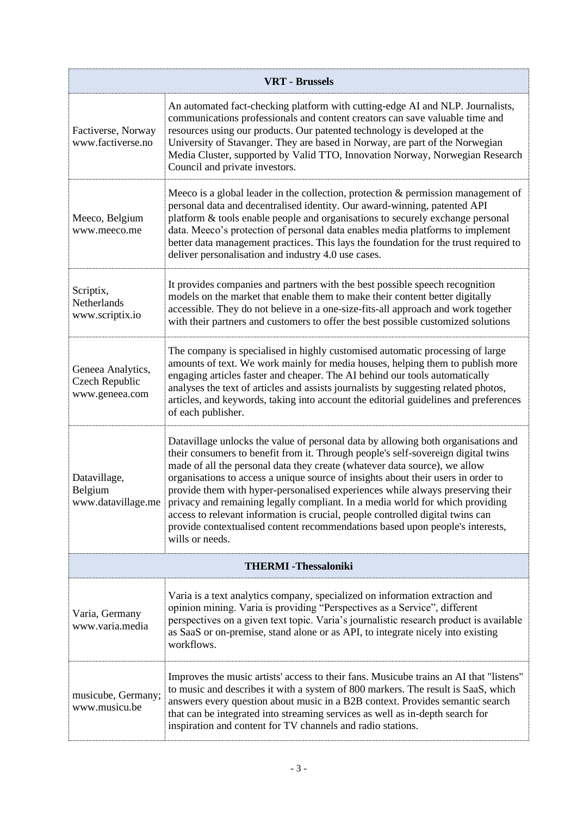| <b>VRT</b> - Brussels                                        |                                                                                                                                                                                                                                                                                                                                                                                                                                                                                                                                                                                                                                                                                                    |  |
|--------------------------------------------------------------|----------------------------------------------------------------------------------------------------------------------------------------------------------------------------------------------------------------------------------------------------------------------------------------------------------------------------------------------------------------------------------------------------------------------------------------------------------------------------------------------------------------------------------------------------------------------------------------------------------------------------------------------------------------------------------------------------|--|
| Factiverse, Norway<br>www.factiverse.no                      | An automated fact-checking platform with cutting-edge AI and NLP. Journalists,<br>communications professionals and content creators can save valuable time and<br>resources using our products. Our patented technology is developed at the<br>University of Stavanger. They are based in Norway, are part of the Norwegian<br>Media Cluster, supported by Valid TTO, Innovation Norway, Norwegian Research<br>Council and private investors.                                                                                                                                                                                                                                                      |  |
| Meeco, Belgium<br>www.meeco.me                               | Meeco is a global leader in the collection, protection $&$ permission management of<br>personal data and decentralised identity. Our award-winning, patented API<br>platform & tools enable people and organisations to securely exchange personal<br>data. Meeco's protection of personal data enables media platforms to implement<br>better data management practices. This lays the foundation for the trust required to<br>deliver personalisation and industry 4.0 use cases.                                                                                                                                                                                                                |  |
| Scriptix,<br>Netherlands<br>www.scriptix.io                  | It provides companies and partners with the best possible speech recognition<br>models on the market that enable them to make their content better digitally<br>accessible. They do not believe in a one-size-fits-all approach and work together<br>with their partners and customers to offer the best possible customized solutions                                                                                                                                                                                                                                                                                                                                                             |  |
| Geneea Analytics,<br><b>Czech Republic</b><br>www.geneea.com | The company is specialised in highly customised automatic processing of large<br>amounts of text. We work mainly for media houses, helping them to publish more<br>engaging articles faster and cheaper. The AI behind our tools automatically<br>analyses the text of articles and assists journalists by suggesting related photos,<br>articles, and keywords, taking into account the editorial guidelines and preferences<br>of each publisher.                                                                                                                                                                                                                                                |  |
| Datavillage,<br>Belgium<br>www.datavillage.me                | Datavillage unlocks the value of personal data by allowing both organisations and<br>their consumers to benefit from it. Through people's self-sovereign digital twins<br>made of all the personal data they create (whatever data source), we allow<br>organisations to access a unique source of insights about their users in order to<br>provide them with hyper-personalised experiences while always preserving their<br>privacy and remaining legally compliant. In a media world for which providing<br>access to relevant information is crucial, people controlled digital twins can<br>provide contextualised content recommendations based upon people's interests,<br>wills or needs. |  |
| <b>THERMI-Thessaloniki</b>                                   |                                                                                                                                                                                                                                                                                                                                                                                                                                                                                                                                                                                                                                                                                                    |  |
| Varia, Germany<br>www.varia.media                            | Varia is a text analytics company, specialized on information extraction and<br>opinion mining. Varia is providing "Perspectives as a Service", different<br>perspectives on a given text topic. Varia's journalistic research product is available<br>as SaaS or on-premise, stand alone or as API, to integrate nicely into existing<br>workflows.                                                                                                                                                                                                                                                                                                                                               |  |
| musicube, Germany;<br>www.musicu.be                          | Improves the music artists' access to their fans. Musicube trains an AI that "listens"<br>to music and describes it with a system of 800 markers. The result is SaaS, which<br>answers every question about music in a B2B context. Provides semantic search<br>that can be integrated into streaming services as well as in-depth search for<br>inspiration and content for TV channels and radio stations.                                                                                                                                                                                                                                                                                       |  |